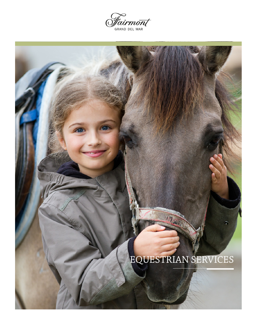

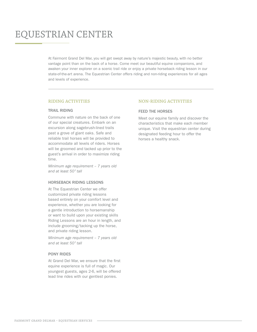# EQUESTRIAN CENTER

At Fairmont Grand Del Mar, you will get swept away by nature's majestic beauty, with no better vantage point than on the back of a horse. Come meet our beautiful equine companions, and awaken your inner explorer on a scenic trail ride or enjoy a private horseback riding lesson in our state-of-the-art arena. The Equestrian Center offers riding and non-riding experiences for all ages and levels of experience.

# **RIDING ACTIVITIES**

# TRAIL RIDING

Commune with nature on the back of one of our special creatures. Embark on an excursion along sagebrush-lined trails past a grove of giant oaks. Safe and reliable trail horses will be provided to accommodate all levels of riders. Horses will be groomed and tacked up prior to the guest's arrival in order to maximize riding time.

*Minimum age requirement – 7 years old and at least 50" tall*

# HORSEBACK RIDING LESSONS

At The Equestrian Center we offer customized private riding lessons based entirely on your comfort level and experience, whether you are looking for a gentle introduction to horsemanship or want to build upon your existing skills Riding Lessons are an hour in length, and include grooming/tacking up the horse, and private riding lesson.

*Minimum age requirement – 7 years old and at least 50" tall*

# PONY RIDES

At Grand Del Mar, we ensure that the first equine experience is full of magic. Our youngest guests, ages 2-6, will be offered lead line rides with our gentlest ponies.

# **NON-RIDING ACTIVITIES**

# FEED THE HORSES

Meet our equine family and discover the characteristics that make each member unique. Visit the equestrian center during designated feeding hour to offer the horses a healthy snack.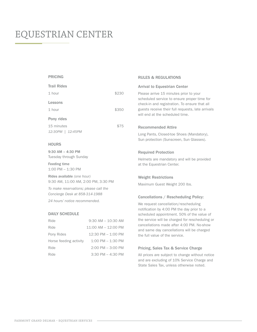# EQUESTRIAN CENTER

#### PRICING

| <b>Trail Rides</b> |       |
|--------------------|-------|
| 1 hour             | \$230 |
| Lessons            |       |
| $1$ hour           | \$350 |
| Pony rides         |       |
| 15 minutes         | \$75  |
| 12:30PM   12:45PM  |       |

#### **HOURS**

9:30 AM – 4:30 PM Tuesday through Sunday

Feeding time 1:00 PM – 1:30 PM

Rides available *(one hour)* 9:30 AM, 11:00 AM, 2:00 PM, 3:30 PM

*To make reservations; please call the Concierge Desk at 858-314-1988*

*24 hours' notice recommended.* 

# DAILY SCHEDULE

| Ride                   | $9:30$ AM $- 10:30$ AM |
|------------------------|------------------------|
| Ride                   | $11:00$ AM $-12:00$ PM |
| Pony Rides             | $12:30$ PM $- 1:00$ PM |
| Horse feeding activity | $1:00$ PM $- 1:30$ PM  |
| Ride                   | $2:00$ PM $-3:00$ PM   |
| Ride                   | $3:30$ PM $- 4:30$ PM  |

#### RULES & REGULATIONS

#### Arrival to Equestrian Center

Please arrive 15 minutes prior to your scheduled service to ensure proper time for check-in and registration. To ensure that all guests receive their full requests, late arrivals will end at the scheduled time.

#### Recommended Attire

Long Pants, Closed-toe Shoes (Mandatory), Sun protection (Sunscreen, Sun Glasses).

#### Required Protection

Helmets are mandatory and will be provided at the Equestrian Center.

### Weight Restrictions

Maximum Guest Weight 200 lbs.

#### Cancellations / Rescheduling Policy:

We request cancellation/rescheduling notification by 4:00 PM the day prior to a scheduled appointment. 50% of the value of the service will be charged for rescheduling or cancellations made after 4:00 PM. No-show and same day cancellations will be charged the full value of the service.

### Pricing, Sales Tax & Service Charge

All prices are subject to change without notice and are excluding of 10% Service Charge and State Sales Tax, unless otherwise noted.